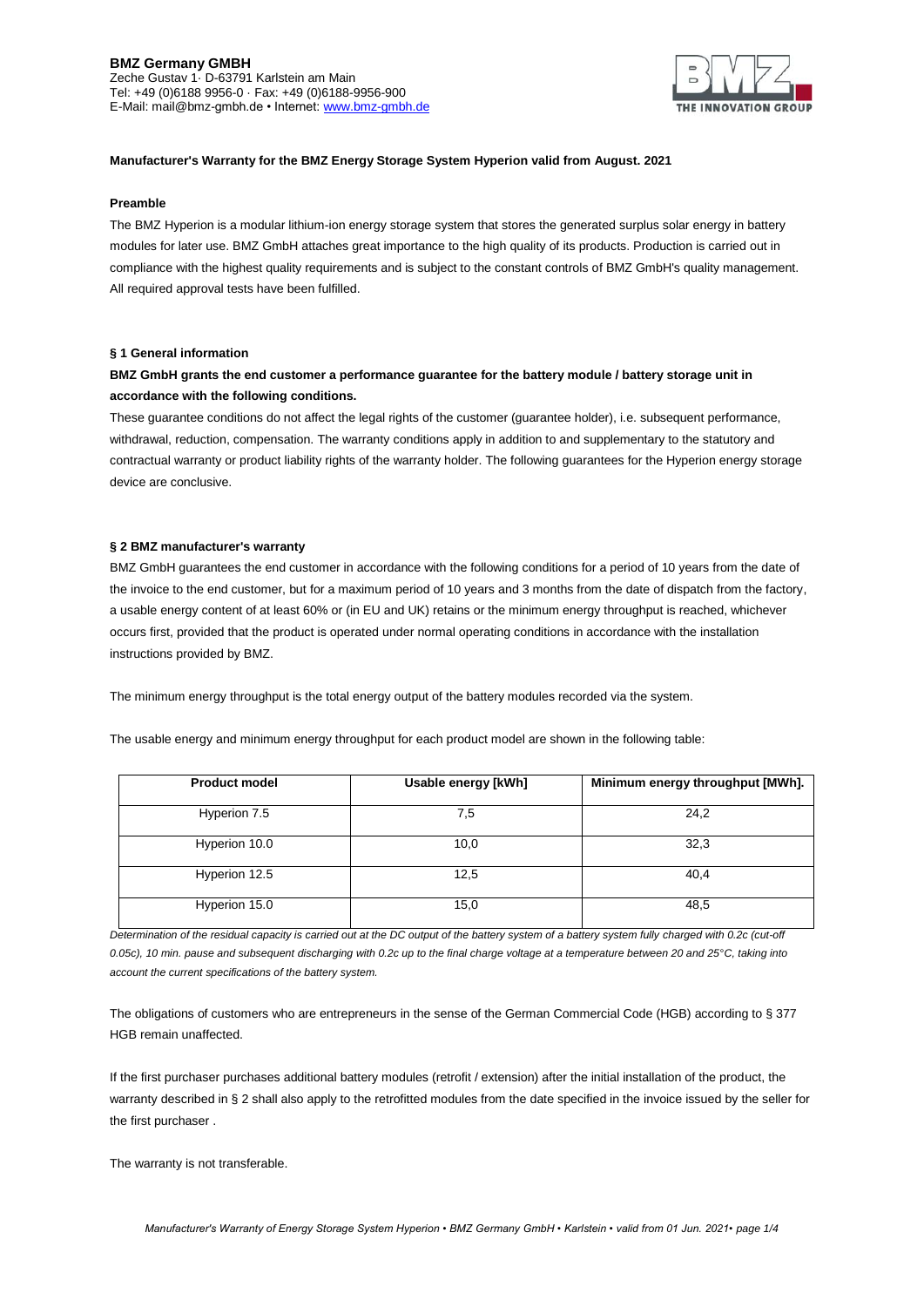### **BMZ Germany GMBH** Zeche Gustav 1· D-63791 Karlstein am Main Tel: +49 (0)6188 9956-0 · Fax: +49 (0)6188-9956-900 E-Mail: mail@bmz-gmbh.de • Internet[: www.bmz-gmbh.de](http://www.bmz-gmbh.de/)



# **Manufacturer's Warranty for the BMZ Energy Storage System Hyperion valid from August. 2021**

#### **Preamble**

The BMZ Hyperion is a modular lithium-ion energy storage system that stores the generated surplus solar energy in battery modules for later use. BMZ GmbH attaches great importance to the high quality of its products. Production is carried out in compliance with the highest quality requirements and is subject to the constant controls of BMZ GmbH's quality management. All required approval tests have been fulfilled.

### **§ 1 General information**

# **BMZ GmbH grants the end customer a performance guarantee for the battery module / battery storage unit in accordance with the following conditions.**

These guarantee conditions do not affect the legal rights of the customer (guarantee holder), i.e. subsequent performance, withdrawal, reduction, compensation. The warranty conditions apply in addition to and supplementary to the statutory and contractual warranty or product liability rights of the warranty holder. The following guarantees for the Hyperion energy storage device are conclusive.

#### **§ 2 BMZ manufacturer's warranty**

BMZ GmbH guarantees the end customer in accordance with the following conditions for a period of 10 years from the date of the invoice to the end customer, but for a maximum period of 10 years and 3 months from the date of dispatch from the factory, a usable energy content of at least 60% or (in EU and UK) retains or the minimum energy throughput is reached, whichever occurs first, provided that the product is operated under normal operating conditions in accordance with the installation instructions provided by BMZ.

The minimum energy throughput is the total energy output of the battery modules recorded via the system.

The usable energy and minimum energy throughput for each product model are shown in the following table:

| <b>Product model</b> | Usable energy [kWh] | Minimum energy throughput [MWh]. |
|----------------------|---------------------|----------------------------------|
| Hyperion 7.5         | 7,5                 | 24,2                             |
| Hyperion 10.0        | 10,0                | 32,3                             |
| Hyperion 12.5        | 12,5                | 40,4                             |
| Hyperion 15.0        | 15,0                | 48,5                             |

*Determination of the residual capacity is carried out at the DC output of the battery system of a battery system fully charged with 0.2c (cut-off 0.05c), 10 min. pause and subsequent discharging with 0.2c up to the final charge voltage at a temperature between 20 and 25°C, taking into account the current specifications of the battery system.*

The obligations of customers who are entrepreneurs in the sense of the German Commercial Code (HGB) according to § 377 HGB remain unaffected.

If the first purchaser purchases additional battery modules (retrofit / extension) after the initial installation of the product, the warranty described in § 2 shall also apply to the retrofitted modules from the date specified in the invoice issued by the seller for the first purchaser .

The warranty is not transferable.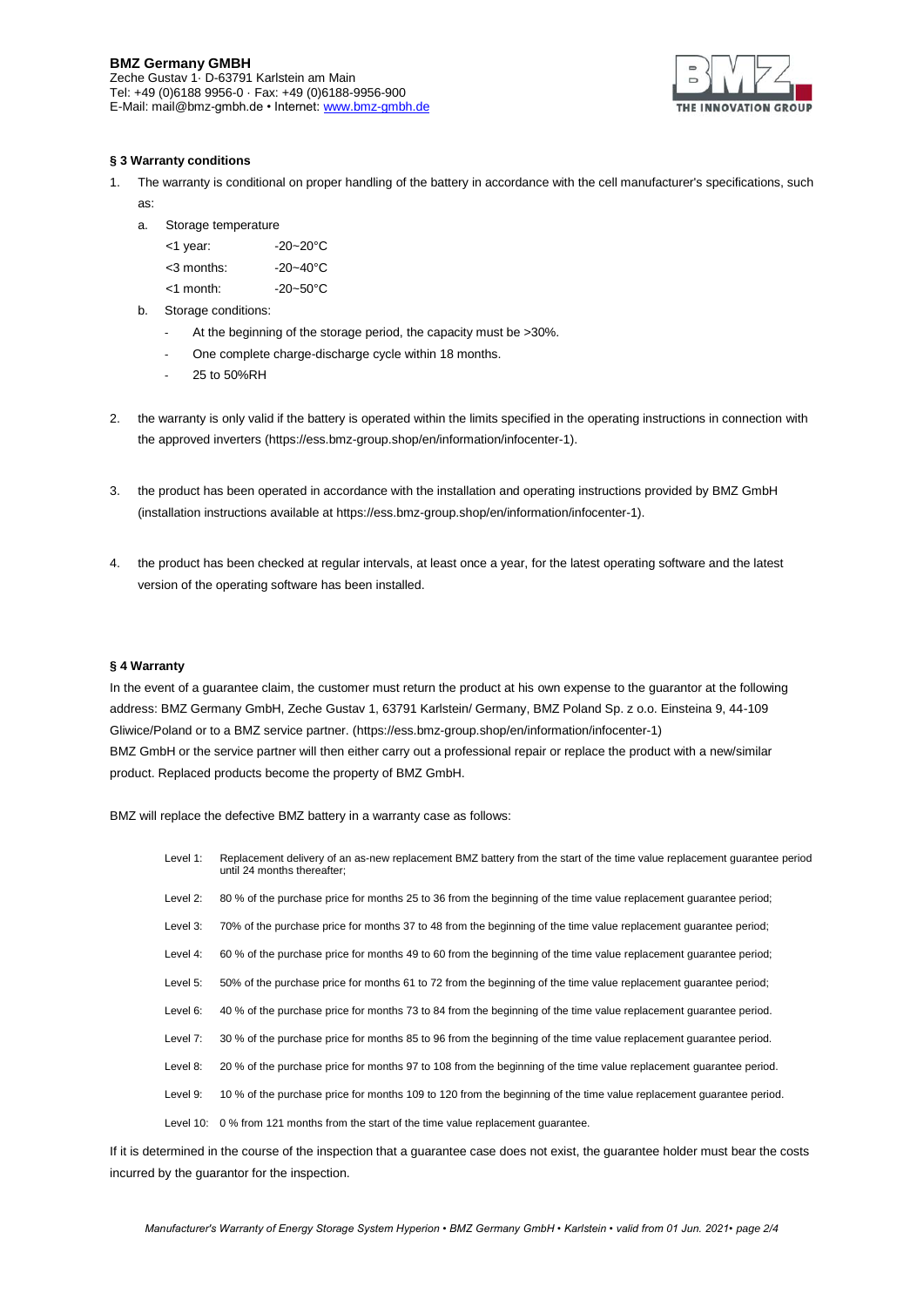# **BMZ Germany GMBH**

Zeche Gustav 1· D-63791 Karlstein am Main Tel: +49 (0)6188 9956-0 · Fax: +49 (0)6188-9956-900 E-Mail: mail@bmz-gmbh.de • Internet[: www.bmz-gmbh.de](http://www.bmz-gmbh.de/)



### **§ 3 Warranty conditions**

- 1. The warranty is conditional on proper handling of the battery in accordance with the cell manufacturer's specifications, such as:
	- a. Storage temperature

| <1 year:      | $-20 - 20^{\circ}$ C |
|---------------|----------------------|
| $<$ 3 months: | $-20 - 40^{\circ}$ C |

- $-20~50^{\circ}$ C
- b. Storage conditions:
	- At the beginning of the storage period, the capacity must be >30%.
	- One complete charge-discharge cycle within 18 months.
	- 25 to 50%RH
- 2. the warranty is only valid if the battery is operated within the limits specified in the operating instructions in connection with the approved inverters (https://ess.bmz-group.shop/en/information/infocenter-1).
- 3. the product has been operated in accordance with the installation and operating instructions provided by BMZ GmbH (installation instructions available at https://ess.bmz-group.shop/en/information/infocenter-1).
- 4. the product has been checked at regular intervals, at least once a year, for the latest operating software and the latest version of the operating software has been installed.

# **§ 4 Warranty**

In the event of a guarantee claim, the customer must return the product at his own expense to the guarantor at the following address: BMZ Germany GmbH, Zeche Gustav 1, 63791 Karlstein/ Germany, BMZ Poland Sp. z o.o. Einsteina 9, 44-109 Gliwice/Poland or to a BMZ service partner. (https://ess.bmz-group.shop/en/information/infocenter-1) BMZ GmbH or the service partner will then either carry out a professional repair or replace the product with a new/similar product. Replaced products become the property of BMZ GmbH.

BMZ will replace the defective BMZ battery in a warranty case as follows:

until 24 months thereafter; Level 2: 80 % of the purchase price for months 25 to 36 from the beginning of the time value replacement guarantee period; Level 3: 70% of the purchase price for months 37 to 48 from the beginning of the time value replacement guarantee period; Level 4: 60 % of the purchase price for months 49 to 60 from the beginning of the time value replacement guarantee period; Level 5: 50% of the purchase price for months 61 to 72 from the beginning of the time value replacement guarantee period; Level 6: 40 % of the purchase price for months 73 to 84 from the beginning of the time value replacement guarantee period. Level 7: 30 % of the purchase price for months 85 to 96 from the beginning of the time value replacement guarantee period. Level 8: 20 % of the purchase price for months 97 to 108 from the beginning of the time value replacement guarantee period. Level 9: 10 % of the purchase price for months 109 to 120 from the beginning of the time value replacement guarantee period. Level 10: 0 % from 121 months from the start of the time value replacement guarantee.

Level 1: Replacement delivery of an as-new replacement BMZ battery from the start of the time value replacement guarantee period

If it is determined in the course of the inspection that a guarantee case does not exist, the guarantee holder must bear the costs incurred by the guarantor for the inspection.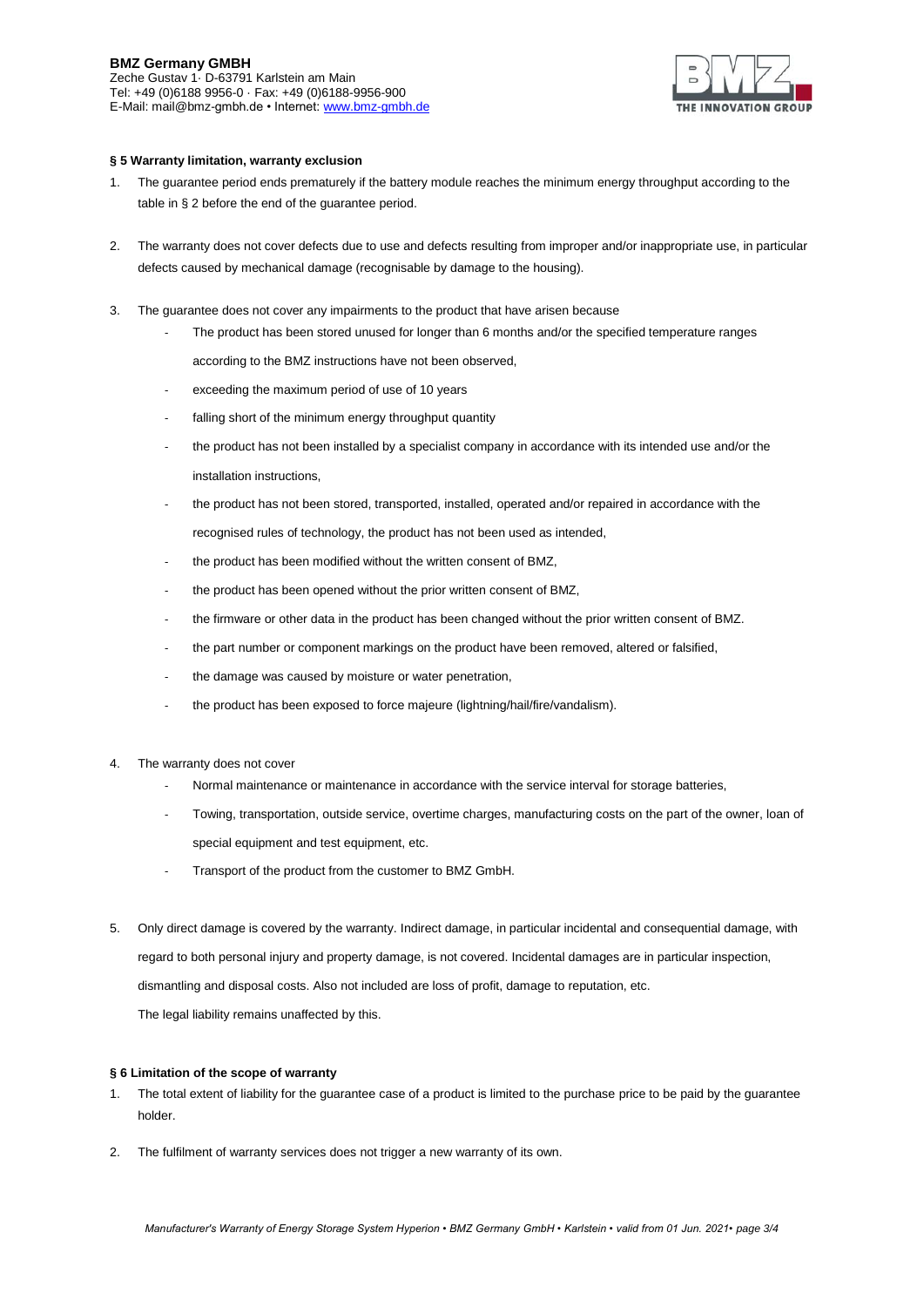# **BMZ Germany GMBH**

Zeche Gustav 1· D-63791 Karlstein am Main Tel: +49 (0)6188 9956-0 · Fax: +49 (0)6188-9956-900 E-Mail: mail@bmz-gmbh.de • Internet[: www.bmz-gmbh.de](http://www.bmz-gmbh.de/)



## **§ 5 Warranty limitation, warranty exclusion**

- 1. The guarantee period ends prematurely if the battery module reaches the minimum energy throughput according to the table in § 2 before the end of the guarantee period.
- 2. The warranty does not cover defects due to use and defects resulting from improper and/or inappropriate use, in particular defects caused by mechanical damage (recognisable by damage to the housing).
- 3. The guarantee does not cover any impairments to the product that have arisen because
	- The product has been stored unused for longer than 6 months and/or the specified temperature ranges
		- according to the BMZ instructions have not been observed,
	- exceeding the maximum period of use of 10 years
	- falling short of the minimum energy throughput quantity
	- the product has not been installed by a specialist company in accordance with its intended use and/or the installation instructions,
	- the product has not been stored, transported, installed, operated and/or repaired in accordance with the recognised rules of technology, the product has not been used as intended,
	- the product has been modified without the written consent of BMZ,
	- the product has been opened without the prior written consent of BMZ,
	- the firmware or other data in the product has been changed without the prior written consent of BMZ.
	- the part number or component markings on the product have been removed, altered or falsified,
	- the damage was caused by moisture or water penetration,
	- the product has been exposed to force majeure (lightning/hail/fire/vandalism).
- 4. The warranty does not cover
	- Normal maintenance or maintenance in accordance with the service interval for storage batteries,
	- Towing, transportation, outside service, overtime charges, manufacturing costs on the part of the owner, loan of special equipment and test equipment, etc.
	- Transport of the product from the customer to BMZ GmbH.
- 5. Only direct damage is covered by the warranty. Indirect damage, in particular incidental and consequential damage, with regard to both personal injury and property damage, is not covered. Incidental damages are in particular inspection, dismantling and disposal costs. Also not included are loss of profit, damage to reputation, etc. The legal liability remains unaffected by this.

### **§ 6 Limitation of the scope of warranty**

- 1. The total extent of liability for the guarantee case of a product is limited to the purchase price to be paid by the guarantee holder.
- 2. The fulfilment of warranty services does not trigger a new warranty of its own.